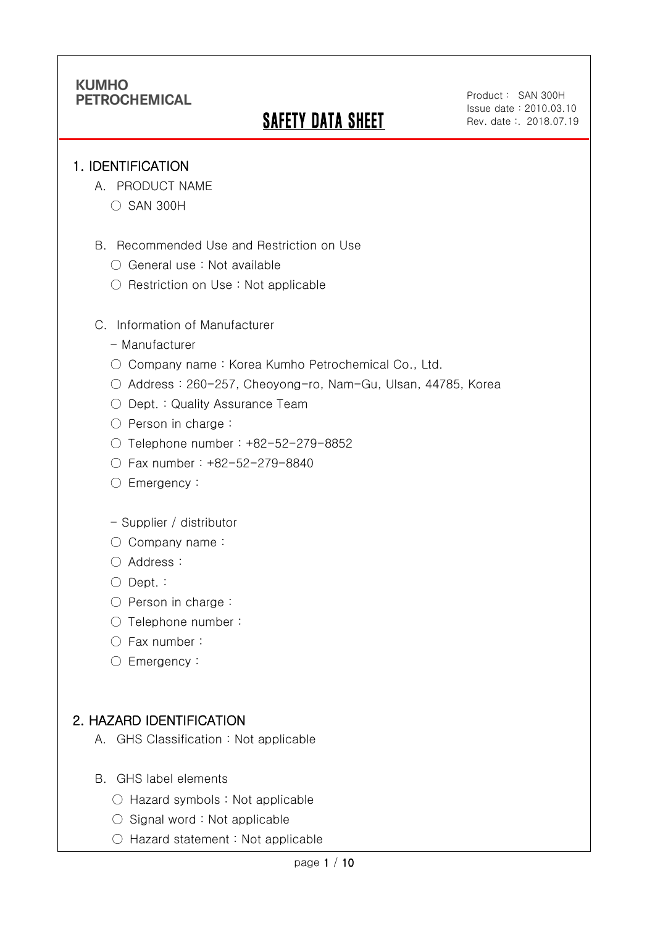# **SAFETY DATA SHEET**

Product: SAN 300H Issue date:2010.03.10 Rev. date :. 2018.07.19

### 1. IDENTIFICATION

Ī

- A. PRODUCT NAME
	- SAN 300H
- B. Recommended Use and Restriction on Use
	- General use : Not available
	- Restriction on Use : Not applicable
- C. Information of Manufacturer
	- Manufacturer
	- Company name: Korea Kumho Petrochemical Co., Ltd.
	- Address : 260-257, Cheoyong-ro, Nam-Gu, Ulsan, 44785, Korea
	- Dept. : Quality Assurance Team
	- Person in charge :
	- Telephone number : +82-52-279-8852
	- Fax number : +82-52-279-8840
	- Emergency:
	- Supplier / distributor
	- Company name:
	- Address :
	- Dept. :
	- Person in charge :
	- Telephone number :
	- Fax number :
	- Emergency:

## 2. HAZARD IDENTIFICATION

- A. GHS Classification : Not applicable
- B. GHS label elements
	- Hazard symbols : Not applicable
	- $\bigcirc$  Signal word : Not applicable
	- Hazard statement : Not applicable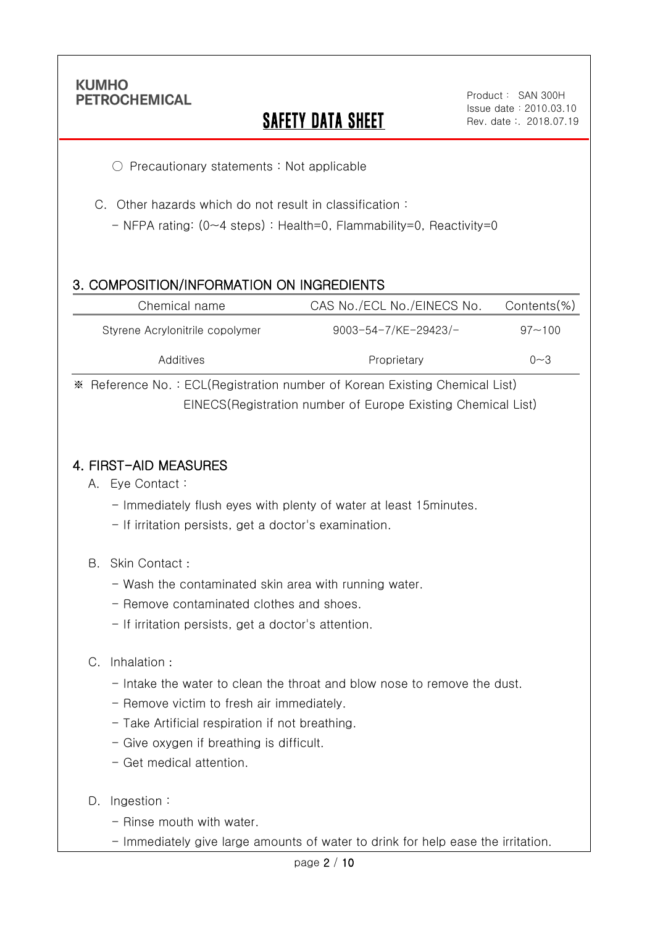Ī

## **SAFETY DATA SHEET**

○ Precautionary statements : Not applicable

C. Other hazards which do not result in classification :

- NFPA rating: (0~4 steps) : Health=0, Flammability=0, Reactivity=0

## 3. COMPOSITION/INFORMATION ON INGREDIENTS

| Chemical name                   | CAS No./ECL No./EINECS No.  | Contents(%) |
|---------------------------------|-----------------------------|-------------|
| Styrene Acrylonitrile copolymer | $9003 - 54 - 7$ /KE-29423/- | $97 - 100$  |
| Additives                       | Proprietary                 | $0 - 3$     |

※ Reference No. : ECL(Registration number of Korean Existing Chemical List) EINECS(Registration number of Europe Existing Chemical List)

### 4. FIRST-AID MEASURES

- A. Eye Contact :
	- Immediately flush eyes with plenty of water at least 15minutes.
	- If irritation persists, get a doctor's examination.
- B. Skin Contact :
	- Wash the contaminated skin area with running water.
	- Remove contaminated clothes and shoes.
	- If irritation persists, get a doctor's attention.

#### C. Inhalation :

- Intake the water to clean the throat and blow nose to remove the dust.
- Remove victim to fresh air immediately.
- Take Artificial respiration if not breathing.
- Give oxygen if breathing is difficult.
- Get medical attention.
- D. Ingestion:
	- Rinse mouth with water.
	- Immediately give large amounts of water to drink for help ease the irritation.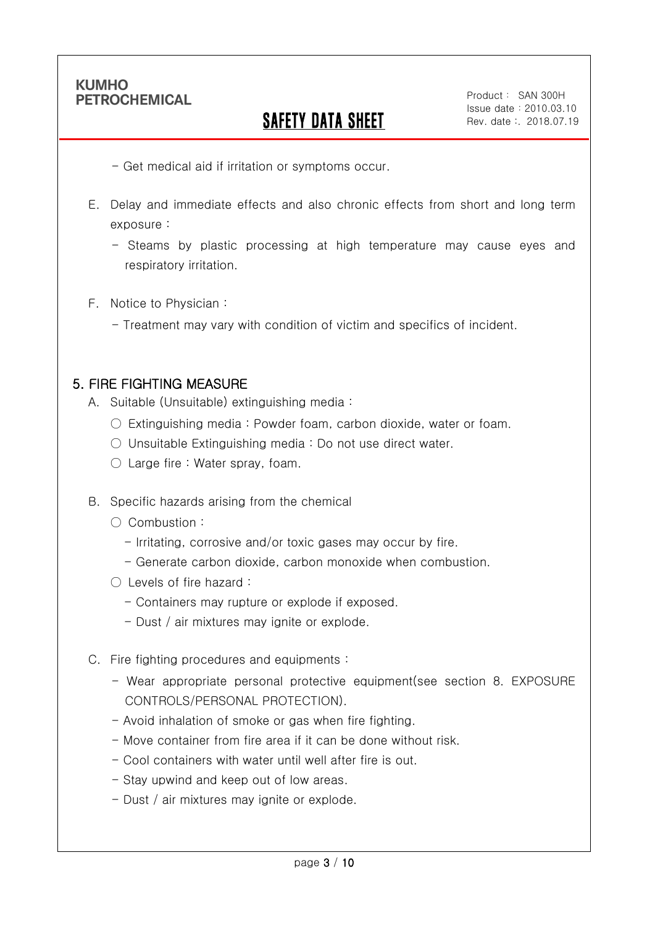Ī

# SAFETY DATA SHEET

Product: SAN 300H Issue date:2010.03.10 Rev. date :. 2018.07.19

- Get medical aid if irritation or symptoms occur.
- E. Delay and immediate effects and also chronic effects from short and long term exposure :
	- Steams by plastic processing at high temperature may cause eyes and respiratory irritation.
- F. Notice to Physician :
	- Treatment may vary with condition of victim and specifics of incident.

### 5. FIRE FIGHTING MEASURE

- A. Suitable (Unsuitable) extinguishing media :
	- $\circ$  Extinguishing media : Powder foam, carbon dioxide, water or foam.
	- Unsuitable Extinguishing media : Do not use direct water.
	- Large fire : Water spray, foam.
- B. Specific hazards arising from the chemical
	- Combustion :
		- Irritating, corrosive and/or toxic gases may occur by fire.
		- Generate carbon dioxide, carbon monoxide when combustion.
	- Levels of fire hazard :
		- Containers may rupture or explode if exposed.
		- Dust / air mixtures may ignite or explode.
- C. Fire fighting procedures and equipments :
	- Wear appropriate personal protective equipment(see section 8. EXPOSURE CONTROLS/PERSONAL PROTECTION).
	- Avoid inhalation of smoke or gas when fire fighting.
	- Move container from fire area if it can be done without risk.
	- Cool containers with water until well after fire is out.
	- Stay upwind and keep out of low areas.
	- Dust / air mixtures may ignite or explode.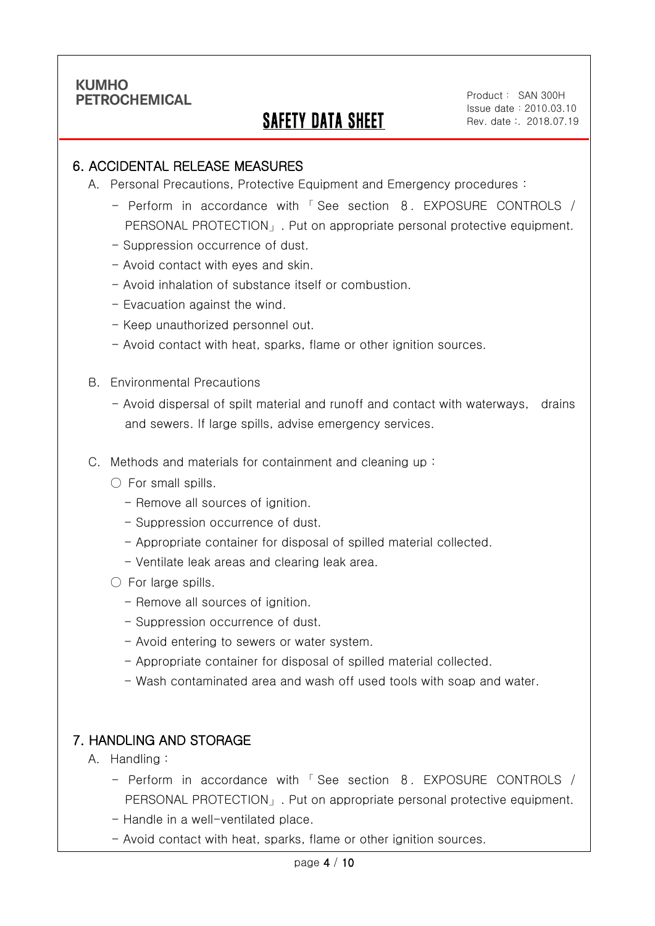Ī

## SAFETY DATA SHEET

Product: SAN 300H Issue date:2010.03.10 Rev. date :. 2018.07.19

### 6. ACCIDENTAL RELEASE MEASURES

- A. Personal Precautions, Protective Equipment and Emergency procedures :
	- Perform in accordance with 「 See section 8. EXPOSURE CONTROLS / PERSONAL PROTECTION」. Put on appropriate personal protective equipment.
	- Suppression occurrence of dust.
	- Avoid contact with eyes and skin.
	- Avoid inhalation of substance itself or combustion.
	- Evacuation against the wind.
	- Keep unauthorized personnel out.
	- Avoid contact with heat, sparks, flame or other ignition sources.
- B. Environmental Precautions
	- Avoid dispersal of spilt material and runoff and contact with waterways, drains and sewers. If large spills, advise emergency services.
- C. Methods and materials for containment and cleaning up :
	- $\bigcirc$  For small spills.
		- Remove all sources of ignition.
		- Suppression occurrence of dust.
		- Appropriate container for disposal of spilled material collected.
		- Ventilate leak areas and clearing leak area.
	- For large spills.
		- Remove all sources of ignition.
		- Suppression occurrence of dust.
		- Avoid entering to sewers or water system.
		- Appropriate container for disposal of spilled material collected.
		- Wash contaminated area and wash off used tools with soap and water.

### 7. HANDLING AND STORAGE

- A. Handling :
	- Perform in accordance with 「 See section 8. EXPOSURE CONTROLS / PERSONAL PROTECTION」. Put on appropriate personal protective equipment.
	- Handle in a well-ventilated place.
	- Avoid contact with heat, sparks, flame or other ignition sources.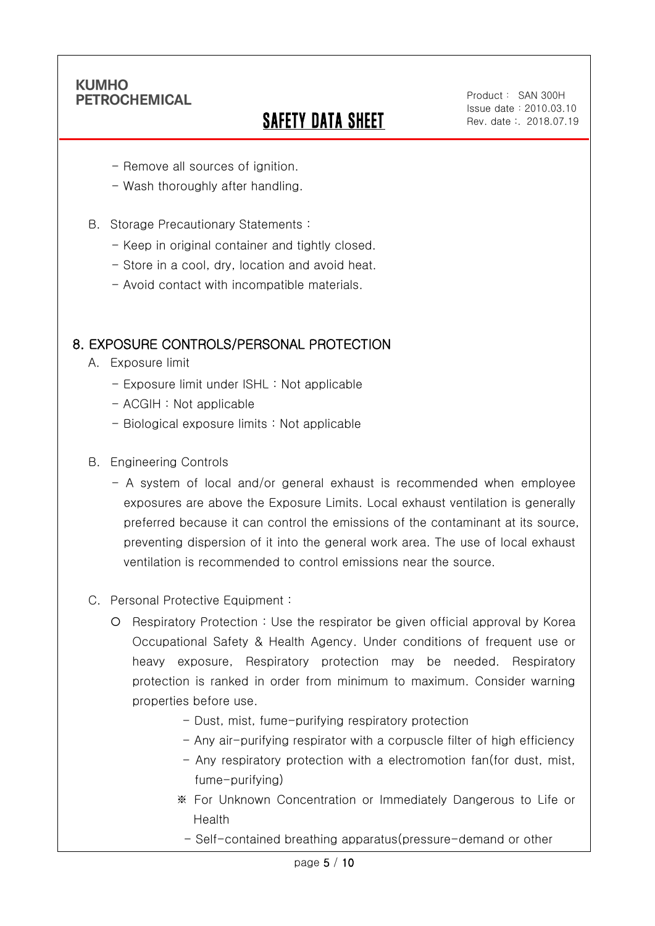Ī

# SAFETY DATA SHEET

Product: SAN 300H Issue date:2010.03.10 Rev. date :. 2018.07.19

- Remove all sources of ignition.
- Wash thoroughly after handling.
- B. Storage Precautionary Statements :
	- Keep in original container and tightly closed.
	- Store in a cool, dry, location and avoid heat.
	- Avoid contact with incompatible materials.

### 8. EXPOSURE CONTROLS/PERSONAL PROTECTION

- A. Exposure limit
	- Exposure limit under ISHL : Not applicable
	- ACGIH : Not applicable
	- Biological exposure limits : Not applicable
- B. Engineering Controls
	- A system of local and/or general exhaust is recommended when employee exposures are above the Exposure Limits. Local exhaust ventilation is generally preferred because it can control the emissions of the contaminant at its source, preventing dispersion of it into the general work area. The use of local exhaust ventilation is recommended to control emissions near the source.
- C. Personal Protective Equipment :
	- Respiratory Protection : Use the respirator be given official approval by Korea Occupational Safety & Health Agency. Under conditions of frequent use or heavy exposure, Respiratory protection may be needed. Respiratory protection is ranked in order from minimum to maximum. Consider warning properties before use.
		- Dust, mist, fume-purifying respiratory protection
		- Any air-purifying respirator with a corpuscle filter of high efficiency
		- Any respiratory protection with a electromotion fan(for dust, mist, fume-purifying)
		- ※ For Unknown Concentration or Immediately Dangerous to Life or Health
			- Self-contained breathing apparatus(pressure-demand or other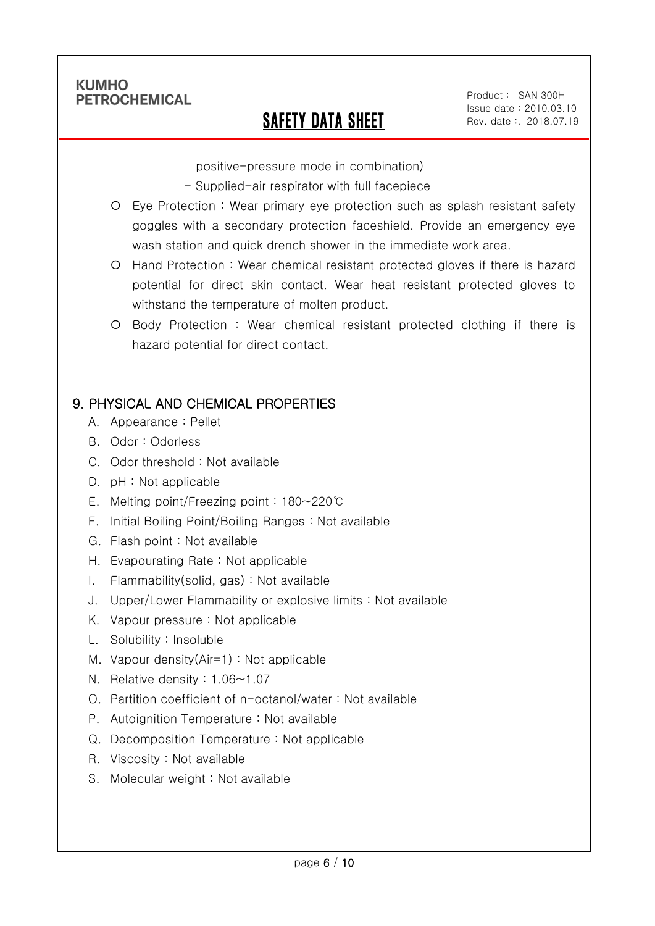Ī

## SAFETY DATA SHEET

Product: SAN 300H Issue date:2010.03.10 Rev. date :. 2018.07.19

positive-pressure mode in combination)

- Supplied-air respirator with full facepiece
- Eye Protection : Wear primary eye protection such as splash resistant safety goggles with a secondary protection faceshield. Provide an emergency eye wash station and quick drench shower in the immediate work area.
- Hand Protection : Wear chemical resistant protected gloves if there is hazard potential for direct skin contact. Wear heat resistant protected gloves to withstand the temperature of molten product.
- Body Protection : Wear chemical resistant protected clothing if there is hazard potential for direct contact.

## 9. PHYSICAL AND CHEMICAL PROPERTIES

- A. Appearance : Pellet
- B. Odor : Odorless
- C. Odor threshold : Not available
- D. pH : Not applicable
- E. Melting point/Freezing point : 180~220℃
- F. Initial Boiling Point/Boiling Ranges : Not available
- G. Flash point : Not available
- H. Evapourating Rate : Not applicable
- I. Flammability(solid, gas) : Not available
- J. Upper/Lower Flammability or explosive limits : Not available
- K. Vapour pressure : Not applicable
- L. Solubility : Insoluble
- M. Vapour density(Air=1) : Not applicable
- N. Relative density : 1.06~1.07
- O. Partition coefficient of n-octanol/water : Not available
- P. Autoignition Temperature : Not available
- Q. Decomposition Temperature : Not applicable
- R. Viscosity : Not available
- S. Molecular weight : Not available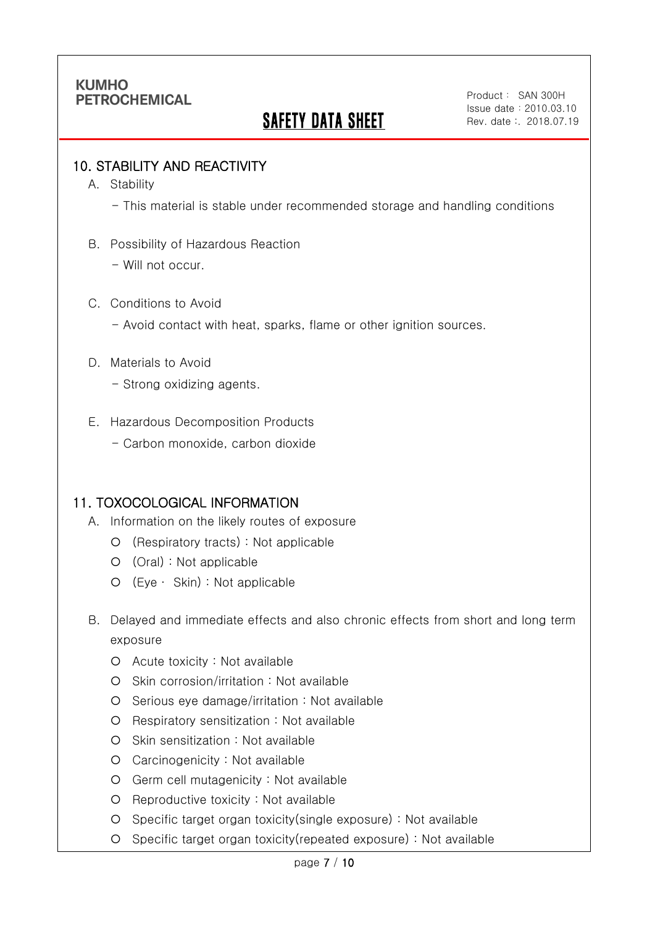# SAFETY DATA SHEET

Product: SAN 300H Issue date:2010.03.10 Rev. date :. 2018.07.19

### 10. STABILITY AND REACTIVITY

A. Stability

Ī

- This material is stable under recommended storage and handling conditions

- B. Possibility of Hazardous Reaction
	- Will not occur.
- C. Conditions to Avoid
	- Avoid contact with heat, sparks, flame or other ignition sources.
- D. Materials to Avoid
	- Strong oxidizing agents.
- E. Hazardous Decomposition Products
	- Carbon monoxide, carbon dioxide

#### 11. TOXOCOLOGICAL INFORMATION

- A. Information on the likely routes of exposure
	- (Respiratory tracts) : Not applicable
	- (Oral) : Not applicable
	- (Eye ∙ Skin) : Not applicable
- B. Delayed and immediate effects and also chronic effects from short and long term exposure
	- Acute toxicity : Not available
	- Skin corrosion/irritation : Not available
	- O Serious eye damage/irritation : Not available
	- O Respiratory sensitization : Not available
	- O Skin sensitization : Not available
	- Carcinogenicity : Not available
	- Germ cell mutagenicity : Not available
	- O Reproductive toxicity : Not available
	- Specific target organ toxicity(single exposure) : Not available
	- Specific target organ toxicity(repeated exposure) : Not available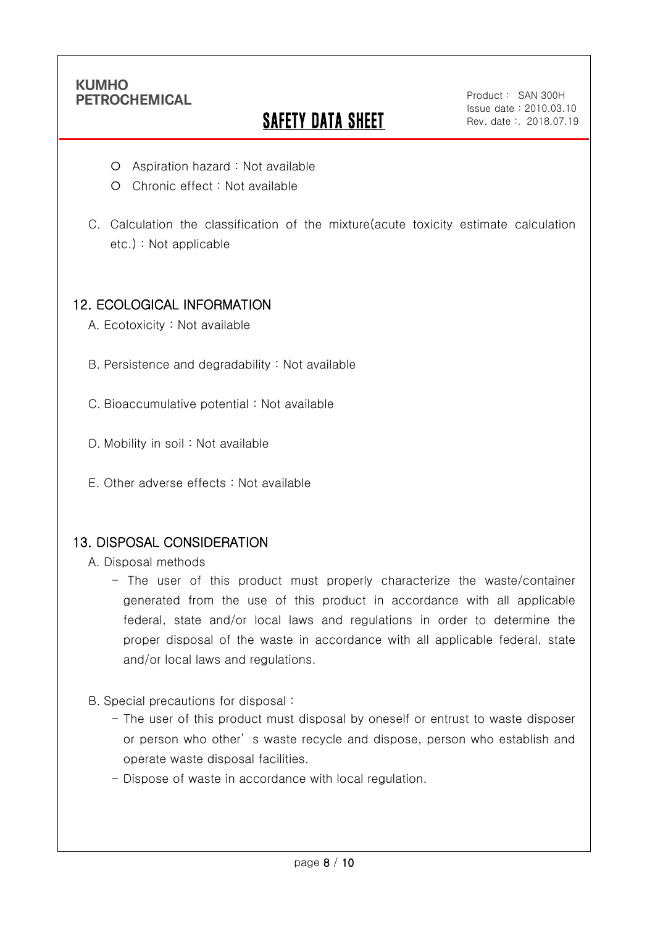Ī

# **SAFETY DATA SHEET**

Product: SAN 300H Issue date:2010.03.10 Rev. date :. 2018.07.19

- Aspiration hazard : Not available
- O Chronic effect : Not available
- C. Calculation the classification of the mixture(acute toxicity estimate calculation etc.) : Not applicable

### 12. ECOLOGICAL INFORMATION

- A. Ecotoxicity : Not available
- B. Persistence and degradability : Not available
- C. Bioaccumulative potential : Not available
- D. Mobility in soil: Not available
- E. Other adverse effects : Not available

### 13. DISPOSAL CONSIDERATION

- A. Disposal methods
	- The user of this product must properly characterize the waste/container generated from the use of this product in accordance with all applicable federal, state and/or local laws and regulations in order to determine the proper disposal of the waste in accordance with all applicable federal, state and/or local laws and regulations.
- B. Special precautions for disposal :
	- The user of this product must disposal by oneself or entrust to waste disposer or person who other' s waste recycle and dispose, person who establish and operate waste disposal facilities.
	- Dispose of waste in accordance with local regulation.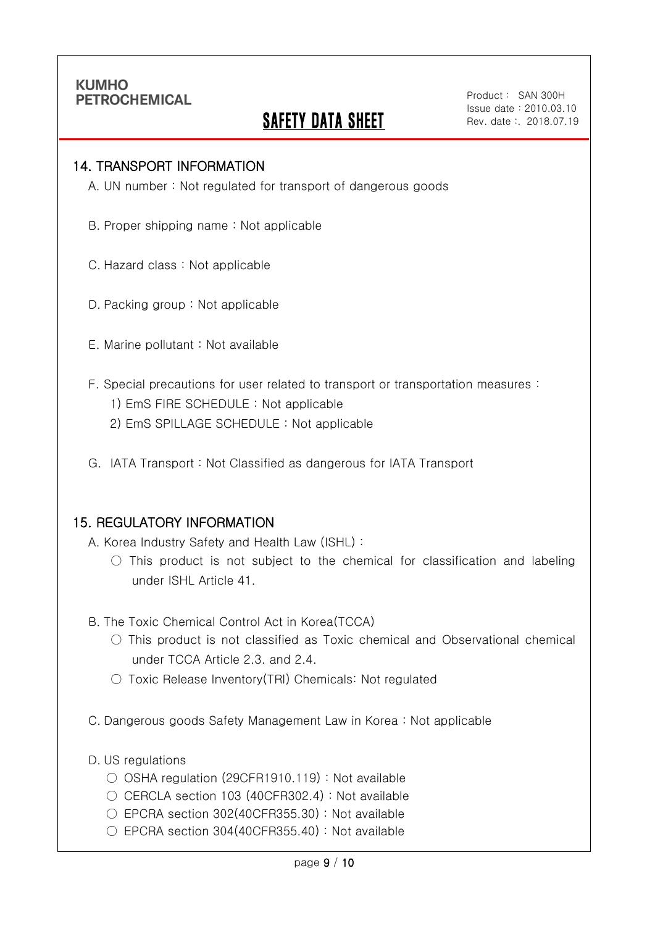Ī

## **SAFETY DATA SHEET**

Product: SAN 300H Issue date:2010.03.10 Rev. date :. 2018.07.19

#### 14. TRANSPORT INFORMATION

A. UN number : Not regulated for transport of dangerous goods

- B. Proper shipping name : Not applicable
- C. Hazard class : Not applicable
- D. Packing group : Not applicable
- E. Marine pollutant : Not available
- F. Special precautions for user related to transport or transportation measures :
	- 1) EmS FIRE SCHEDULE : Not applicable
	- 2) EmS SPILLAGE SCHEDULE : Not applicable
- G. IATA Transport : Not Classified as dangerous for IATA Transport

#### 15. REGULATORY INFORMATION

A. Korea Industry Safety and Health Law (ISHL) :

- $\bigcirc$  This product is not subject to the chemical for classification and labeling under ISHL Article 41.
- B. The Toxic Chemical Control Act in Korea(TCCA)
	- $\bigcirc$  This product is not classified as Toxic chemical and Observational chemical under TCCA Article 2.3. and 2.4.
	- Toxic Release Inventory(TRI) Chemicals: Not regulated
- C. Dangerous goods Safety Management Law in Korea : Not applicable
- D. US regulations
	- OSHA regulation (29CFR1910.119) : Not available
	- $\bigcirc$  CERCLA section 103 (40CFR302.4) : Not available
	- EPCRA section 302(40CFR355.30) : Not available
	- EPCRA section 304(40CFR355.40): Not available